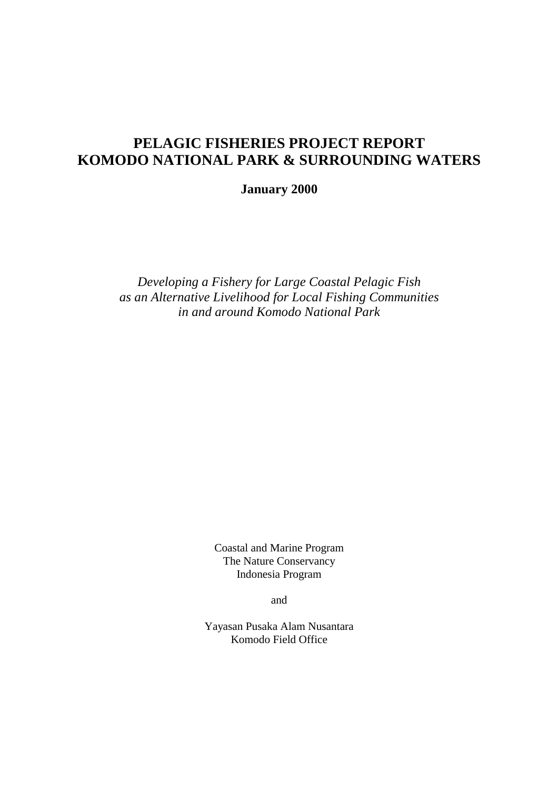# **PELAGIC FISHERIES PROJECT REPORT KOMODO NATIONAL PARK & SURROUNDING WATERS**

**January 2000** 

*Developing a Fishery for Large Coastal Pelagic Fish as an Alternative Livelihood for Local Fishing Communities in and around Komodo National Park*

> Coastal and Marine Program The Nature Conservancy Indonesia Program

> > and

Yayasan Pusaka Alam Nusantara Komodo Field Office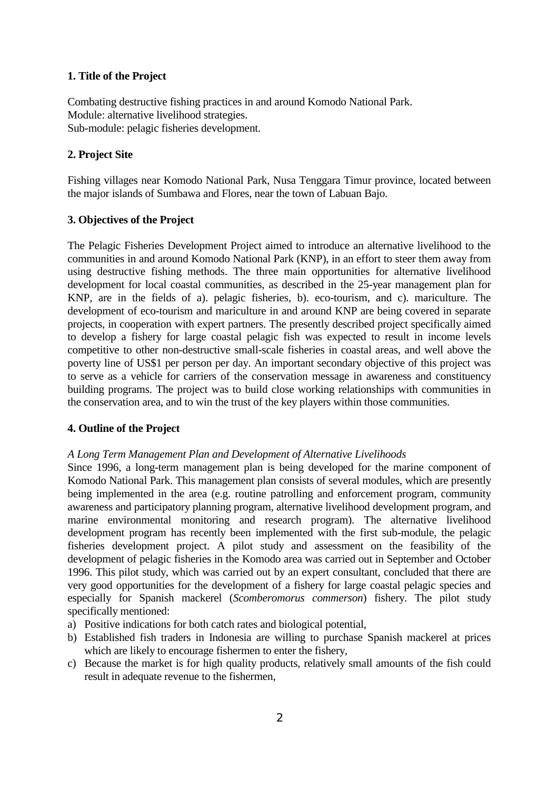## **1. Title of the Project**

Combating destructive fishing practices in and around Komodo National Park. Module: alternative livelihood strategies. Sub-module: pelagic fisheries development.

## **2. Project Site**

Fishing villages near Komodo National Park, Nusa Tenggara Timur province, located between the major islands of Sumbawa and Flores, near the town of Labuan Bajo.

## **3. Objectives of the Project**

The Pelagic Fisheries Development Project aimed to introduce an alternative livelihood to the communities in and around Komodo National Park (KNP), in an effort to steer them away from using destructive fishing methods. The three main opportunities for alternative livelihood development for local coastal communities, as described in the 25-year management plan for KNP, are in the fields of a). pelagic fisheries, b). eco-tourism, and c). mariculture. The development of eco-tourism and mariculture in and around KNP are being covered in separate projects, in cooperation with expert partners. The presently described project specifically aimed to develop a fishery for large coastal pelagic fish was expected to result in income levels competitive to other non-destructive small-scale fisheries in coastal areas, and well above the poverty line of US\$1 per person per day. An important secondary objective of this project was to serve as a vehicle for carriers of the conservation message in awareness and constituency building programs. The project was to build close working relationships with communities in the conservation area, and to win the trust of the key players within those communities.

## **4. Outline of the Project**

## *A Long Term Management Plan and Development of Alternative Livelihoods*

Since 1996, a long-term management plan is being developed for the marine component of Komodo National Park. This management plan consists of several modules, which are presently being implemented in the area (e.g. routine patrolling and enforcement program, community awareness and participatory planning program, alternative livelihood development program, and marine environmental monitoring and research program). The alternative livelihood development program has recently been implemented with the first sub-module, the pelagic fisheries development project. A pilot study and assessment on the feasibility of the development of pelagic fisheries in the Komodo area was carried out in September and October 1996. This pilot study, which was carried out by an expert consultant, concluded that there are very good opportunities for the development of a fishery for large coastal pelagic species and especially for Spanish mackerel (*Scomberomorus commerson*) fishery. The pilot study specifically mentioned:

- a) Positive indications for both catch rates and biological potential,
- b) Established fish traders in Indonesia are willing to purchase Spanish mackerel at prices which are likely to encourage fishermen to enter the fishery,
- c) Because the market is for high quality products, relatively small amounts of the fish could result in adequate revenue to the fishermen,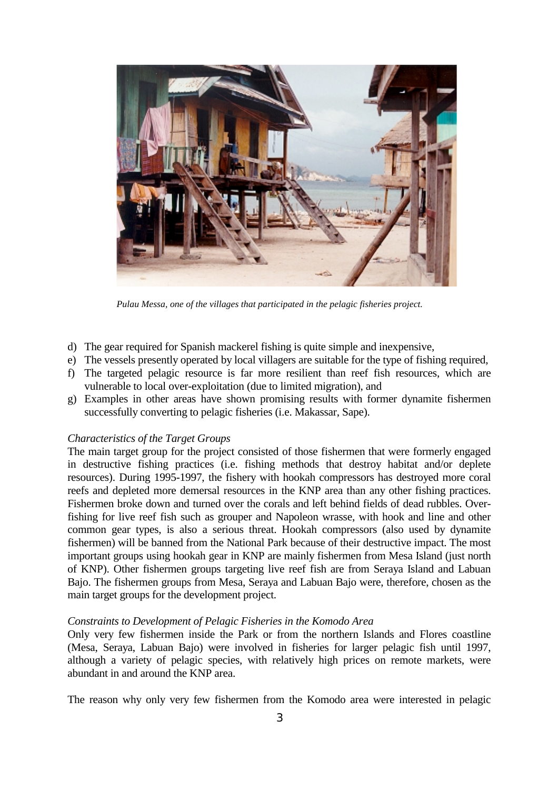

*Pulau Messa, one of the villages that participated in the pelagic fisheries project.* 

- d) The gear required for Spanish mackerel fishing is quite simple and inexpensive,
- e) The vessels presently operated by local villagers are suitable for the type of fishing required,
- f) The targeted pelagic resource is far more resilient than reef fish resources, which are vulnerable to local over-exploitation (due to limited migration), and
- g) Examples in other areas have shown promising results with former dynamite fishermen successfully converting to pelagic fisheries (i.e. Makassar, Sape).

### *Characteristics of the Target Groups*

The main target group for the project consisted of those fishermen that were formerly engaged in destructive fishing practices (i.e. fishing methods that destroy habitat and/or deplete resources). During 1995-1997, the fishery with hookah compressors has destroyed more coral reefs and depleted more demersal resources in the KNP area than any other fishing practices. Fishermen broke down and turned over the corals and left behind fields of dead rubbles. Overfishing for live reef fish such as grouper and Napoleon wrasse, with hook and line and other common gear types, is also a serious threat. Hookah compressors (also used by dynamite fishermen) will be banned from the National Park because of their destructive impact. The most important groups using hookah gear in KNP are mainly fishermen from Mesa Island (just north of KNP). Other fishermen groups targeting live reef fish are from Seraya Island and Labuan Bajo. The fishermen groups from Mesa, Seraya and Labuan Bajo were, therefore, chosen as the main target groups for the development project.

#### *Constraints to Development of Pelagic Fisheries in the Komodo Area*

Only very few fishermen inside the Park or from the northern Islands and Flores coastline (Mesa, Seraya, Labuan Bajo) were involved in fisheries for larger pelagic fish until 1997, although a variety of pelagic species, with relatively high prices on remote markets, were abundant in and around the KNP area.

The reason why only very few fishermen from the Komodo area were interested in pelagic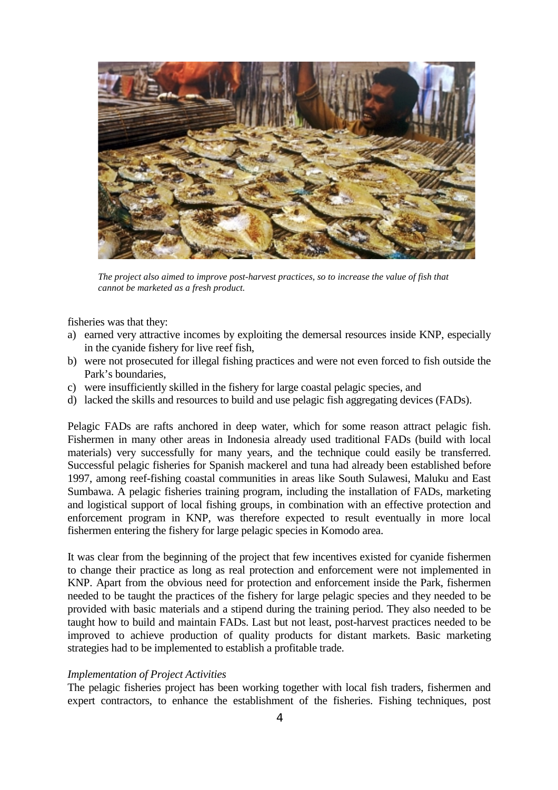

*The project also aimed to improve post-harvest practices, so to increase the value of fish that cannot be marketed as a fresh product.*

fisheries was that they:

- a) earned very attractive incomes by exploiting the demersal resources inside KNP, especially in the cyanide fishery for live reef fish,
- b) were not prosecuted for illegal fishing practices and were not even forced to fish outside the Park's boundaries,
- c) were insufficiently skilled in the fishery for large coastal pelagic species, and
- d) lacked the skills and resources to build and use pelagic fish aggregating devices (FADs).

Pelagic FADs are rafts anchored in deep water, which for some reason attract pelagic fish. Fishermen in many other areas in Indonesia already used traditional FADs (build with local materials) very successfully for many years, and the technique could easily be transferred. Successful pelagic fisheries for Spanish mackerel and tuna had already been established before 1997, among reef-fishing coastal communities in areas like South Sulawesi, Maluku and East Sumbawa. A pelagic fisheries training program, including the installation of FADs, marketing and logistical support of local fishing groups, in combination with an effective protection and enforcement program in KNP, was therefore expected to result eventually in more local fishermen entering the fishery for large pelagic species in Komodo area.

It was clear from the beginning of the project that few incentives existed for cyanide fishermen to change their practice as long as real protection and enforcement were not implemented in KNP. Apart from the obvious need for protection and enforcement inside the Park, fishermen needed to be taught the practices of the fishery for large pelagic species and they needed to be provided with basic materials and a stipend during the training period. They also needed to be taught how to build and maintain FADs. Last but not least, post-harvest practices needed to be improved to achieve production of quality products for distant markets. Basic marketing strategies had to be implemented to establish a profitable trade.

#### *Implementation of Project Activities*

The pelagic fisheries project has been working together with local fish traders, fishermen and expert contractors, to enhance the establishment of the fisheries. Fishing techniques, post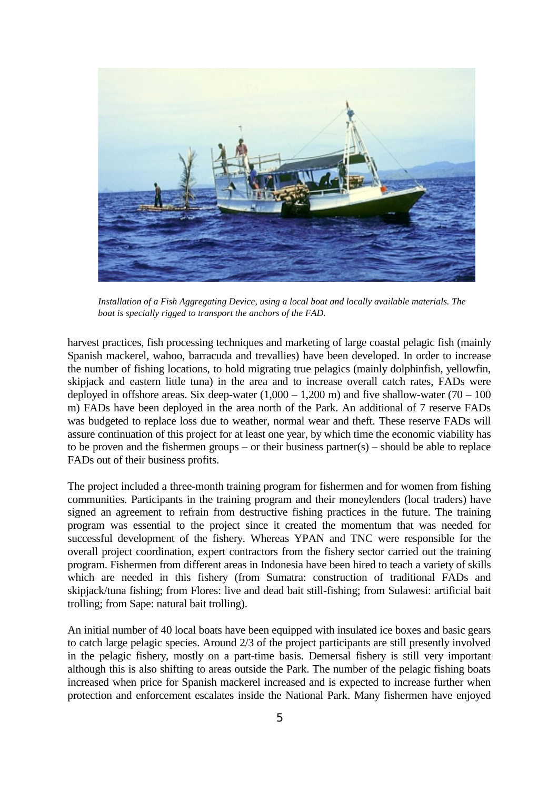

*Installation of a Fish Aggregating Device, using a local boat and locally available materials. The boat is specially rigged to transport the anchors of the FAD.* 

harvest practices, fish processing techniques and marketing of large coastal pelagic fish (mainly Spanish mackerel, wahoo, barracuda and trevallies) have been developed. In order to increase the number of fishing locations, to hold migrating true pelagics (mainly dolphinfish, yellowfin, skipjack and eastern little tuna) in the area and to increase overall catch rates, FADs were deployed in offshore areas. Six deep-water  $(1,000 - 1,200 \text{ m})$  and five shallow-water  $(70 - 100 \text{ m})$ m) FADs have been deployed in the area north of the Park. An additional of 7 reserve FADs was budgeted to replace loss due to weather, normal wear and theft. These reserve FADs will assure continuation of this project for at least one year, by which time the economic viability has to be proven and the fishermen groups – or their business partner(s) – should be able to replace FADs out of their business profits.

The project included a three-month training program for fishermen and for women from fishing communities. Participants in the training program and their moneylenders (local traders) have signed an agreement to refrain from destructive fishing practices in the future. The training program was essential to the project since it created the momentum that was needed for successful development of the fishery. Whereas YPAN and TNC were responsible for the overall project coordination, expert contractors from the fishery sector carried out the training program. Fishermen from different areas in Indonesia have been hired to teach a variety of skills which are needed in this fishery (from Sumatra: construction of traditional FADs and skipjack/tuna fishing; from Flores: live and dead bait still-fishing; from Sulawesi: artificial bait trolling; from Sape: natural bait trolling).

An initial number of 40 local boats have been equipped with insulated ice boxes and basic gears to catch large pelagic species. Around 2/3 of the project participants are still presently involved in the pelagic fishery, mostly on a part-time basis. Demersal fishery is still very important although this is also shifting to areas outside the Park. The number of the pelagic fishing boats increased when price for Spanish mackerel increased and is expected to increase further when protection and enforcement escalates inside the National Park. Many fishermen have enjoyed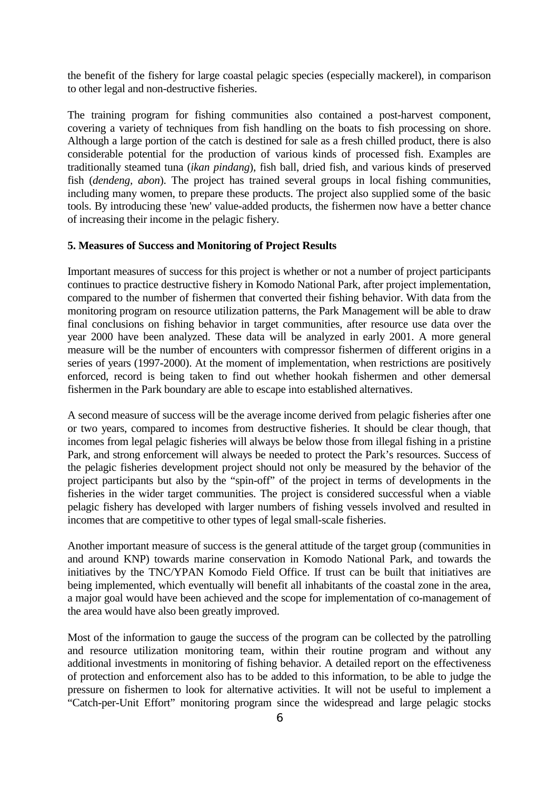the benefit of the fishery for large coastal pelagic species (especially mackerel), in comparison to other legal and non-destructive fisheries.

The training program for fishing communities also contained a post-harvest component, covering a variety of techniques from fish handling on the boats to fish processing on shore. Although a large portion of the catch is destined for sale as a fresh chilled product, there is also considerable potential for the production of various kinds of processed fish. Examples are traditionally steamed tuna (*ikan pindang*), fish ball, dried fish, and various kinds of preserved fish (*dendeng, abon*). The project has trained several groups in local fishing communities, including many women, to prepare these products. The project also supplied some of the basic tools. By introducing these 'new' value-added products, the fishermen now have a better chance of increasing their income in the pelagic fishery.

### **5. Measures of Success and Monitoring of Project Results**

Important measures of success for this project is whether or not a number of project participants continues to practice destructive fishery in Komodo National Park, after project implementation, compared to the number of fishermen that converted their fishing behavior. With data from the monitoring program on resource utilization patterns, the Park Management will be able to draw final conclusions on fishing behavior in target communities, after resource use data over the year 2000 have been analyzed. These data will be analyzed in early 2001. A more general measure will be the number of encounters with compressor fishermen of different origins in a series of years (1997-2000). At the moment of implementation, when restrictions are positively enforced, record is being taken to find out whether hookah fishermen and other demersal fishermen in the Park boundary are able to escape into established alternatives.

A second measure of success will be the average income derived from pelagic fisheries after one or two years, compared to incomes from destructive fisheries. It should be clear though, that incomes from legal pelagic fisheries will always be below those from illegal fishing in a pristine Park, and strong enforcement will always be needed to protect the Park's resources. Success of the pelagic fisheries development project should not only be measured by the behavior of the project participants but also by the "spin-off" of the project in terms of developments in the fisheries in the wider target communities. The project is considered successful when a viable pelagic fishery has developed with larger numbers of fishing vessels involved and resulted in incomes that are competitive to other types of legal small-scale fisheries.

Another important measure of success is the general attitude of the target group (communities in and around KNP) towards marine conservation in Komodo National Park, and towards the initiatives by the TNC/YPAN Komodo Field Office. If trust can be built that initiatives are being implemented, which eventually will benefit all inhabitants of the coastal zone in the area, a major goal would have been achieved and the scope for implementation of co-management of the area would have also been greatly improved.

Most of the information to gauge the success of the program can be collected by the patrolling and resource utilization monitoring team, within their routine program and without any additional investments in monitoring of fishing behavior. A detailed report on the effectiveness of protection and enforcement also has to be added to this information, to be able to judge the pressure on fishermen to look for alternative activities. It will not be useful to implement a "Catch-per-Unit Effort" monitoring program since the widespread and large pelagic stocks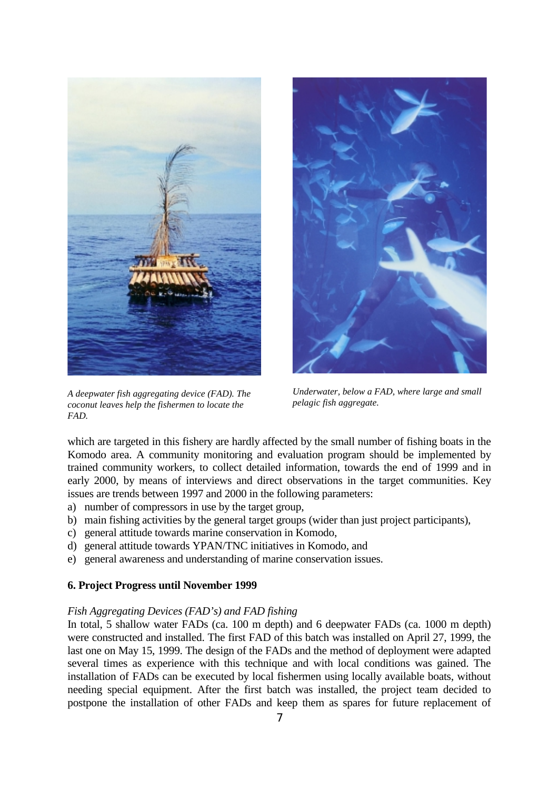

*A deepwater fish aggregating device (FAD). The coconut leaves help the fishermen to locate the FAD.*

*Underwater, below a FAD, where large and small pelagic fish aggregate.*

which are targeted in this fishery are hardly affected by the small number of fishing boats in the Komodo area. A community monitoring and evaluation program should be implemented by trained community workers, to collect detailed information, towards the end of 1999 and in early 2000, by means of interviews and direct observations in the target communities. Key issues are trends between 1997 and 2000 in the following parameters:

- a) number of compressors in use by the target group,
- b) main fishing activities by the general target groups (wider than just project participants),
- c) general attitude towards marine conservation in Komodo,
- d) general attitude towards YPAN/TNC initiatives in Komodo, and
- e) general awareness and understanding of marine conservation issues.

## **6. Project Progress until November 1999**

## *Fish Aggregating Devices (FAD's) and FAD fishing*

In total, 5 shallow water FADs (ca. 100 m depth) and 6 deepwater FADs (ca. 1000 m depth) were constructed and installed. The first FAD of this batch was installed on April 27, 1999, the last one on May 15, 1999. The design of the FADs and the method of deployment were adapted several times as experience with this technique and with local conditions was gained. The installation of FADs can be executed by local fishermen using locally available boats, without needing special equipment. After the first batch was installed, the project team decided to postpone the installation of other FADs and keep them as spares for future replacement of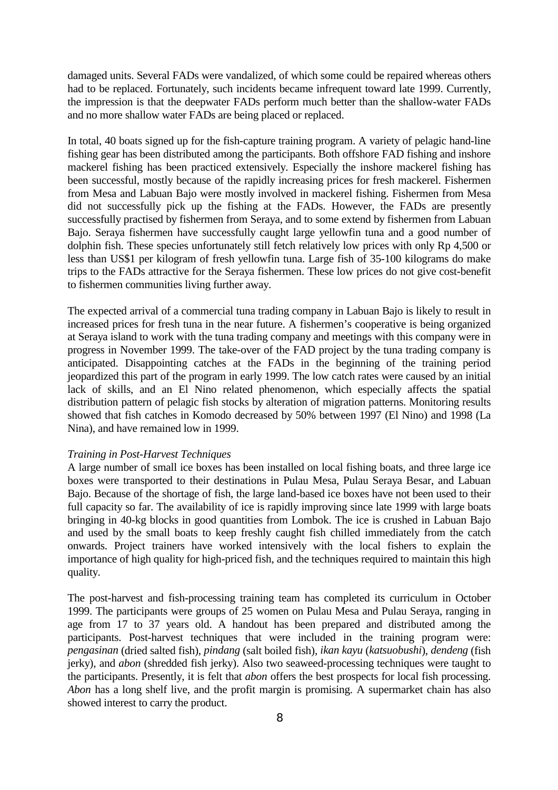damaged units. Several FADs were vandalized, of which some could be repaired whereas others had to be replaced. Fortunately, such incidents became infrequent toward late 1999. Currently, the impression is that the deepwater FADs perform much better than the shallow-water FADs and no more shallow water FADs are being placed or replaced.

In total, 40 boats signed up for the fish-capture training program. A variety of pelagic hand-line fishing gear has been distributed among the participants. Both offshore FAD fishing and inshore mackerel fishing has been practiced extensively. Especially the inshore mackerel fishing has been successful, mostly because of the rapidly increasing prices for fresh mackerel. Fishermen from Mesa and Labuan Bajo were mostly involved in mackerel fishing. Fishermen from Mesa did not successfully pick up the fishing at the FADs. However, the FADs are presently successfully practised by fishermen from Seraya, and to some extend by fishermen from Labuan Bajo. Seraya fishermen have successfully caught large yellowfin tuna and a good number of dolphin fish. These species unfortunately still fetch relatively low prices with only Rp 4,500 or less than US\$1 per kilogram of fresh yellowfin tuna. Large fish of 35-100 kilograms do make trips to the FADs attractive for the Seraya fishermen. These low prices do not give cost-benefit to fishermen communities living further away.

The expected arrival of a commercial tuna trading company in Labuan Bajo is likely to result in increased prices for fresh tuna in the near future. A fishermen's cooperative is being organized at Seraya island to work with the tuna trading company and meetings with this company were in progress in November 1999. The take-over of the FAD project by the tuna trading company is anticipated. Disappointing catches at the FADs in the beginning of the training period jeopardized this part of the program in early 1999. The low catch rates were caused by an initial lack of skills, and an El Nino related phenomenon, which especially affects the spatial distribution pattern of pelagic fish stocks by alteration of migration patterns. Monitoring results showed that fish catches in Komodo decreased by 50% between 1997 (El Nino) and 1998 (La Nina), and have remained low in 1999.

#### *Training in Post-Harvest Techniques*

A large number of small ice boxes has been installed on local fishing boats, and three large ice boxes were transported to their destinations in Pulau Mesa, Pulau Seraya Besar, and Labuan Bajo. Because of the shortage of fish, the large land-based ice boxes have not been used to their full capacity so far. The availability of ice is rapidly improving since late 1999 with large boats bringing in 40-kg blocks in good quantities from Lombok. The ice is crushed in Labuan Bajo and used by the small boats to keep freshly caught fish chilled immediately from the catch onwards. Project trainers have worked intensively with the local fishers to explain the importance of high quality for high-priced fish, and the techniques required to maintain this high quality.

The post-harvest and fish-processing training team has completed its curriculum in October 1999. The participants were groups of 25 women on Pulau Mesa and Pulau Seraya, ranging in age from 17 to 37 years old. A handout has been prepared and distributed among the participants. Post-harvest techniques that were included in the training program were: *pengasinan* (dried salted fish), *pindang* (salt boiled fish), *ikan kayu* (*katsuobushi*), *dendeng* (fish jerky), and *abon* (shredded fish jerky). Also two seaweed-processing techniques were taught to the participants. Presently, it is felt that *abon* offers the best prospects for local fish processing. *Abon* has a long shelf live, and the profit margin is promising. A supermarket chain has also showed interest to carry the product.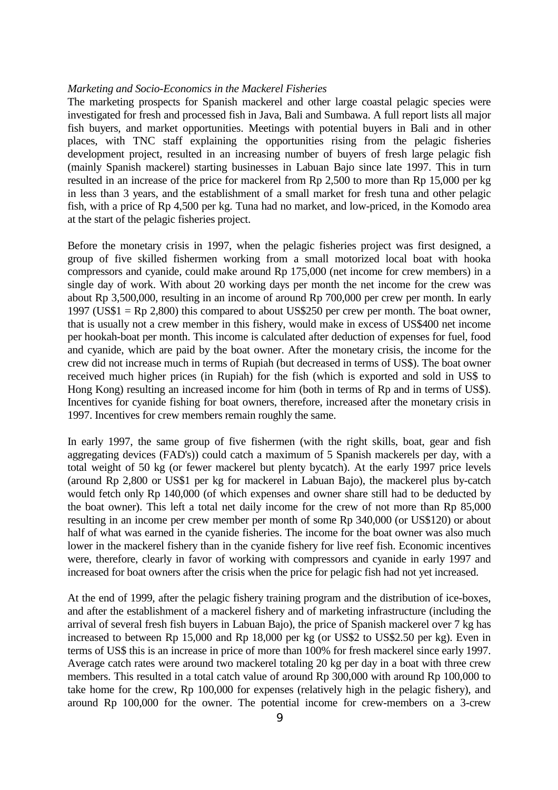#### *Marketing and Socio-Economics in the Mackerel Fisheries*

The marketing prospects for Spanish mackerel and other large coastal pelagic species were investigated for fresh and processed fish in Java, Bali and Sumbawa. A full report lists all major fish buyers, and market opportunities. Meetings with potential buyers in Bali and in other places, with TNC staff explaining the opportunities rising from the pelagic fisheries development project, resulted in an increasing number of buyers of fresh large pelagic fish (mainly Spanish mackerel) starting businesses in Labuan Bajo since late 1997. This in turn resulted in an increase of the price for mackerel from Rp 2,500 to more than Rp 15,000 per kg in less than 3 years, and the establishment of a small market for fresh tuna and other pelagic fish, with a price of Rp 4,500 per kg. Tuna had no market, and low-priced, in the Komodo area at the start of the pelagic fisheries project.

Before the monetary crisis in 1997, when the pelagic fisheries project was first designed, a group of five skilled fishermen working from a small motorized local boat with hooka compressors and cyanide, could make around Rp 175,000 (net income for crew members) in a single day of work. With about 20 working days per month the net income for the crew was about Rp 3,500,000, resulting in an income of around Rp 700,000 per crew per month. In early 1997 (US\$1 = Rp 2,800) this compared to about US\$250 per crew per month. The boat owner, that is usually not a crew member in this fishery, would make in excess of US\$400 net income per hookah-boat per month. This income is calculated after deduction of expenses for fuel, food and cyanide, which are paid by the boat owner. After the monetary crisis, the income for the crew did not increase much in terms of Rupiah (but decreased in terms of US\$). The boat owner received much higher prices (in Rupiah) for the fish (which is exported and sold in US\$ to Hong Kong) resulting an increased income for him (both in terms of Rp and in terms of US\$). Incentives for cyanide fishing for boat owners, therefore, increased after the monetary crisis in 1997. Incentives for crew members remain roughly the same.

In early 1997, the same group of five fishermen (with the right skills, boat, gear and fish aggregating devices (FAD's)) could catch a maximum of 5 Spanish mackerels per day, with a total weight of 50 kg (or fewer mackerel but plenty bycatch). At the early 1997 price levels (around Rp 2,800 or US\$1 per kg for mackerel in Labuan Bajo), the mackerel plus by-catch would fetch only Rp 140,000 (of which expenses and owner share still had to be deducted by the boat owner). This left a total net daily income for the crew of not more than Rp 85,000 resulting in an income per crew member per month of some Rp 340,000 (or US\$120) or about half of what was earned in the cyanide fisheries. The income for the boat owner was also much lower in the mackerel fishery than in the cyanide fishery for live reef fish. Economic incentives were, therefore, clearly in favor of working with compressors and cyanide in early 1997 and increased for boat owners after the crisis when the price for pelagic fish had not yet increased.

At the end of 1999, after the pelagic fishery training program and the distribution of ice-boxes, and after the establishment of a mackerel fishery and of marketing infrastructure (including the arrival of several fresh fish buyers in Labuan Bajo), the price of Spanish mackerel over 7 kg has increased to between Rp 15,000 and Rp 18,000 per kg (or US\$2 to US\$2.50 per kg). Even in terms of US\$ this is an increase in price of more than 100% for fresh mackerel since early 1997. Average catch rates were around two mackerel totaling 20 kg per day in a boat with three crew members. This resulted in a total catch value of around Rp 300,000 with around Rp 100,000 to take home for the crew, Rp 100,000 for expenses (relatively high in the pelagic fishery), and around Rp 100,000 for the owner. The potential income for crew-members on a 3-crew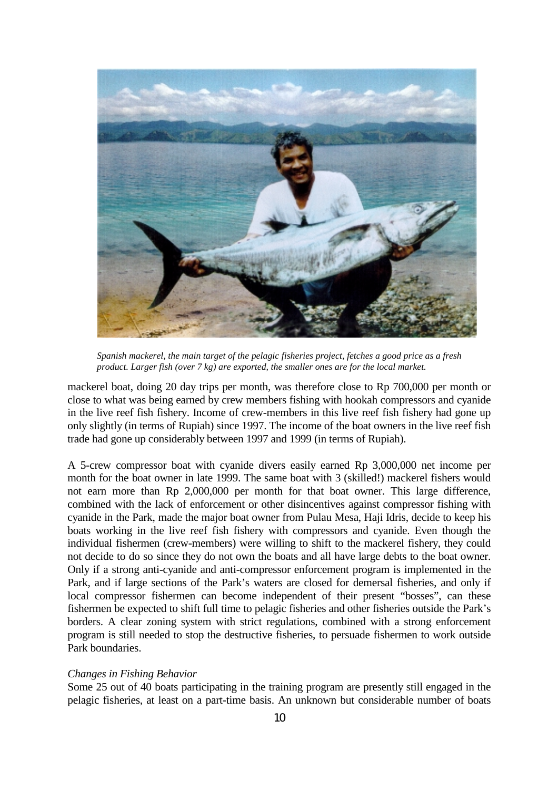

*Spanish mackerel, the main target of the pelagic fisheries project, fetches a good price as a fresh product. Larger fish (over 7 kg) are exported, the smaller ones are for the local market.*

mackerel boat, doing 20 day trips per month, was therefore close to Rp 700,000 per month or close to what was being earned by crew members fishing with hookah compressors and cyanide in the live reef fish fishery. Income of crew-members in this live reef fish fishery had gone up only slightly (in terms of Rupiah) since 1997. The income of the boat owners in the live reef fish trade had gone up considerably between 1997 and 1999 (in terms of Rupiah).

A 5-crew compressor boat with cyanide divers easily earned Rp 3,000,000 net income per month for the boat owner in late 1999. The same boat with 3 (skilled!) mackerel fishers would not earn more than Rp 2,000,000 per month for that boat owner. This large difference, combined with the lack of enforcement or other disincentives against compressor fishing with cyanide in the Park, made the major boat owner from Pulau Mesa, Haji Idris, decide to keep his boats working in the live reef fish fishery with compressors and cyanide. Even though the individual fishermen (crew-members) were willing to shift to the mackerel fishery, they could not decide to do so since they do not own the boats and all have large debts to the boat owner. Only if a strong anti-cyanide and anti-compressor enforcement program is implemented in the Park, and if large sections of the Park's waters are closed for demersal fisheries, and only if local compressor fishermen can become independent of their present "bosses", can these fishermen be expected to shift full time to pelagic fisheries and other fisheries outside the Park's borders. A clear zoning system with strict regulations, combined with a strong enforcement program is still needed to stop the destructive fisheries, to persuade fishermen to work outside Park boundaries.

## *Changes in Fishing Behavior*

Some 25 out of 40 boats participating in the training program are presently still engaged in the pelagic fisheries, at least on a part-time basis. An unknown but considerable number of boats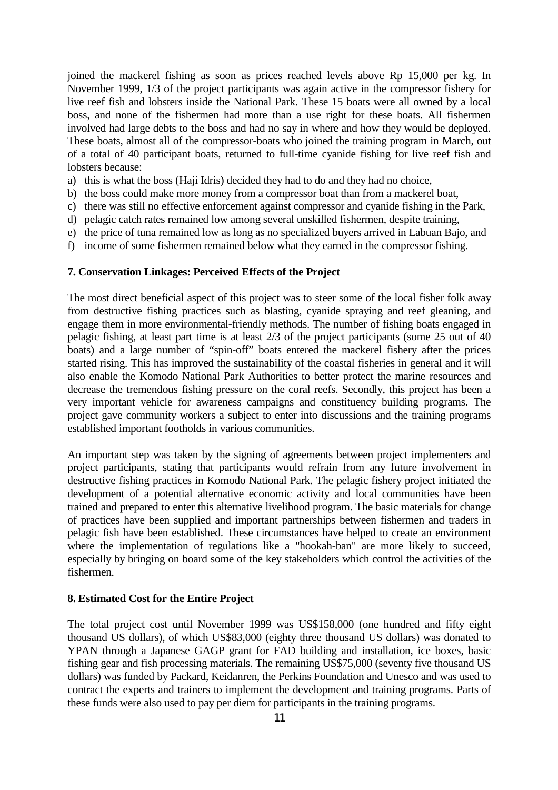joined the mackerel fishing as soon as prices reached levels above Rp 15,000 per kg. In November 1999, 1/3 of the project participants was again active in the compressor fishery for live reef fish and lobsters inside the National Park. These 15 boats were all owned by a local boss, and none of the fishermen had more than a use right for these boats. All fishermen involved had large debts to the boss and had no say in where and how they would be deployed. These boats, almost all of the compressor-boats who joined the training program in March, out of a total of 40 participant boats, returned to full-time cyanide fishing for live reef fish and lobsters because:

- a) this is what the boss (Haji Idris) decided they had to do and they had no choice,
- b) the boss could make more money from a compressor boat than from a mackerel boat,
- c) there was still no effective enforcement against compressor and cyanide fishing in the Park,
- d) pelagic catch rates remained low among several unskilled fishermen, despite training,
- e) the price of tuna remained low as long as no specialized buyers arrived in Labuan Bajo, and
- f) income of some fishermen remained below what they earned in the compressor fishing.

### **7. Conservation Linkages: Perceived Effects of the Project**

The most direct beneficial aspect of this project was to steer some of the local fisher folk away from destructive fishing practices such as blasting, cyanide spraying and reef gleaning, and engage them in more environmental-friendly methods. The number of fishing boats engaged in pelagic fishing, at least part time is at least 2/3 of the project participants (some 25 out of 40 boats) and a large number of "spin-off" boats entered the mackerel fishery after the prices started rising. This has improved the sustainability of the coastal fisheries in general and it will also enable the Komodo National Park Authorities to better protect the marine resources and decrease the tremendous fishing pressure on the coral reefs. Secondly, this project has been a very important vehicle for awareness campaigns and constituency building programs. The project gave community workers a subject to enter into discussions and the training programs established important footholds in various communities.

An important step was taken by the signing of agreements between project implementers and project participants, stating that participants would refrain from any future involvement in destructive fishing practices in Komodo National Park. The pelagic fishery project initiated the development of a potential alternative economic activity and local communities have been trained and prepared to enter this alternative livelihood program. The basic materials for change of practices have been supplied and important partnerships between fishermen and traders in pelagic fish have been established. These circumstances have helped to create an environment where the implementation of regulations like a "hookah-ban" are more likely to succeed, especially by bringing on board some of the key stakeholders which control the activities of the fishermen.

### **8. Estimated Cost for the Entire Project**

The total project cost until November 1999 was US\$158,000 (one hundred and fifty eight thousand US dollars), of which US\$83,000 (eighty three thousand US dollars) was donated to YPAN through a Japanese GAGP grant for FAD building and installation, ice boxes, basic fishing gear and fish processing materials. The remaining US\$75,000 (seventy five thousand US dollars) was funded by Packard, Keidanren, the Perkins Foundation and Unesco and was used to contract the experts and trainers to implement the development and training programs. Parts of these funds were also used to pay per diem for participants in the training programs.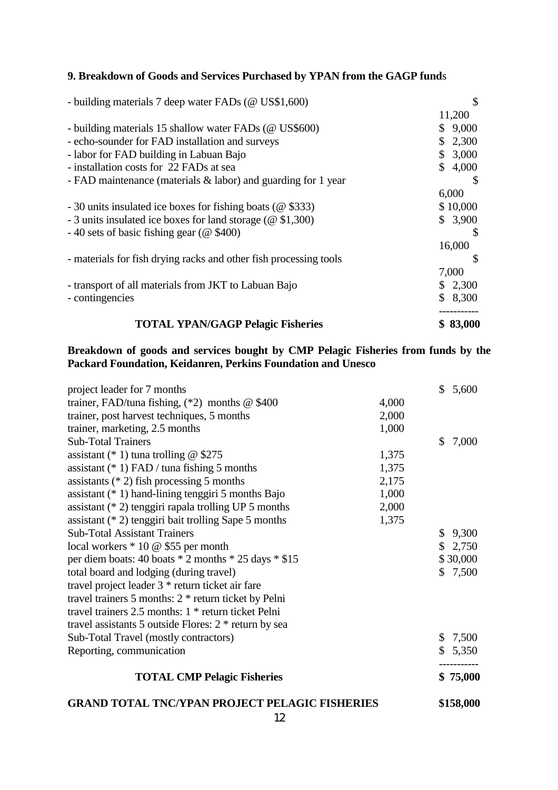# **9. Breakdown of Goods and Services Purchased by YPAN from the GAGP fund**s

| - building materials 7 deep water FADs (@ US\$1,600)               | \$           |  |
|--------------------------------------------------------------------|--------------|--|
|                                                                    | 11,200       |  |
| - building materials 15 shallow water FADs (@ US\$600)             | \$9,000      |  |
| - echo-sounder for FAD installation and surveys                    | \$2,300      |  |
| - labor for FAD building in Labuan Bajo                            | \$3,000      |  |
| - installation costs for 22 FADs at sea                            | \$4,000      |  |
| - FAD maintenance (materials $&$ labor) and guarding for 1 year    |              |  |
|                                                                    | 6,000        |  |
| - 30 units insulated ice boxes for fishing boats (@\\$333)         | \$10,000     |  |
| - 3 units insulated ice boxes for land storage ( $\omega$ \$1,300) | \$3,900      |  |
| $-40$ sets of basic fishing gear ( $@$ \$400)                      | <sup>8</sup> |  |
|                                                                    | 16,000       |  |
| - materials for fish drying racks and other fish processing tools  | <b>S</b>     |  |
|                                                                    | 7,000        |  |
| - transport of all materials from JKT to Labuan Bajo               | \$2,300      |  |
| - contingencies                                                    | \$8,300      |  |
| <b>TOTAL YPAN/GAGP Pelagic Fisheries</b>                           | \$83,000     |  |

# **Breakdown of goods and services bought by CMP Pelagic Fisheries from funds by the Packard Foundation, Keidanren, Perkins Foundation and Unesco**

| <b>GRAND TOTAL TNC/YPAN PROJECT PELAGIC FISHERIES</b>      |       |         | \$158,000 |
|------------------------------------------------------------|-------|---------|-----------|
| <b>TOTAL CMP Pelagic Fisheries</b>                         |       |         | \$75,000  |
| Reporting, communication                                   |       |         | \$5,350   |
| Sub-Total Travel (mostly contractors)                      |       |         | \$7,500   |
| travel assistants 5 outside Flores: $2 *$ return by sea    |       |         |           |
| travel trainers $2.5$ months: $1 *$ return ticket Pelni    |       |         |           |
| travel trainers 5 months: $2 *$ return ticket by Pelni     |       |         |           |
| travel project leader 3 * return ticket air fare           |       |         |           |
| total board and lodging (during travel)                    |       | \$7,500 |           |
| per diem boats: 40 boats $*$ 2 months $*$ 25 days $*$ \$15 |       |         | \$30,000  |
| local workers * 10 @ \$55 per month                        |       |         | \$2,750   |
| <b>Sub-Total Assistant Trainers</b>                        |       |         | \$9,300   |
| assistant $(* 2)$ tenggiri bait trolling Sape 5 months     | 1,375 |         |           |
| assistant $(* 2)$ tenggiri rapala trolling UP 5 months     | 2,000 |         |           |
| assistant $(* 1)$ hand-lining tenggiri 5 months Bajo       | 1,000 |         |           |
| assistants $(* 2)$ fish processing 5 months                | 2,175 |         |           |
| assistant $(* 1)$ FAD / tuna fishing 5 months              | 1,375 |         |           |
| assistant (* 1) tuna trolling @ $$275$                     | 1,375 |         |           |
| <b>Sub-Total Trainers</b>                                  |       | \$      | 7,000     |
| trainer, marketing, 2.5 months                             | 1,000 |         |           |
| trainer, post harvest techniques, 5 months                 | 2,000 |         |           |
| trainer, FAD/tuna fishing, $(*2)$ months @ \$400           | 4,000 |         |           |
| project leader for 7 months                                |       | \$5,600 |           |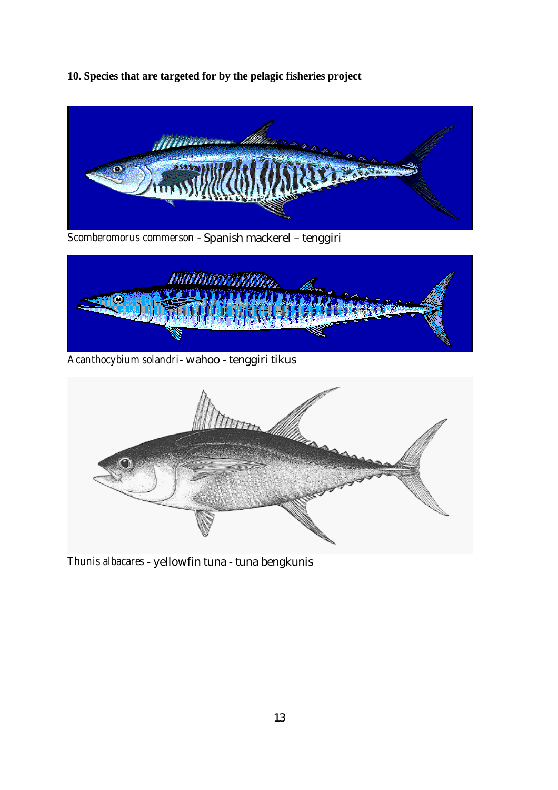**10. Species that are targeted for by the pelagic fisheries project** 



*Scomberomorus commerson* - Spanish mackerel – tenggiri



*Acanthocybium solandri*- wahoo - tenggiri tikus



*Thunis albacares* - yellowfin tuna - tuna bengkunis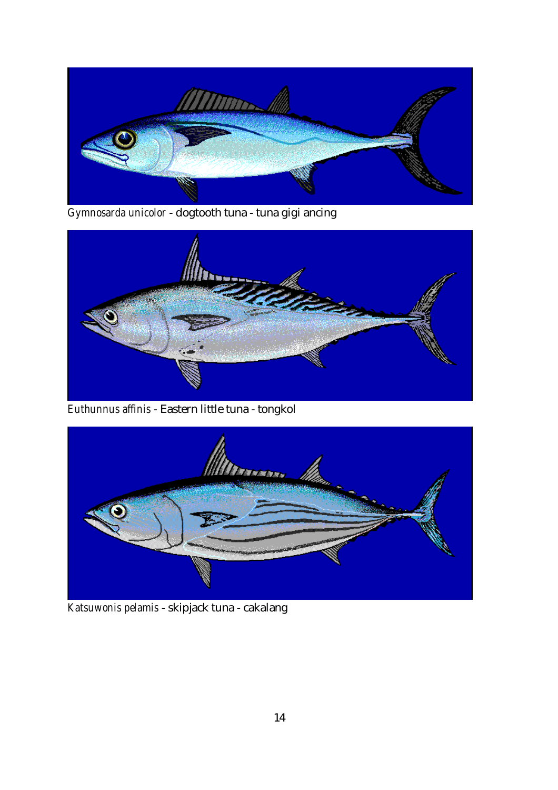![](_page_13_Picture_0.jpeg)

*Gymnosarda unicolor* - dogtooth tuna - tuna gigi ancing

![](_page_13_Picture_2.jpeg)

*Euthunnus affinis* - Eastern little tuna - tongkol

![](_page_13_Picture_4.jpeg)

*Katsuwonis pelamis* - skipjack tuna - cakalang